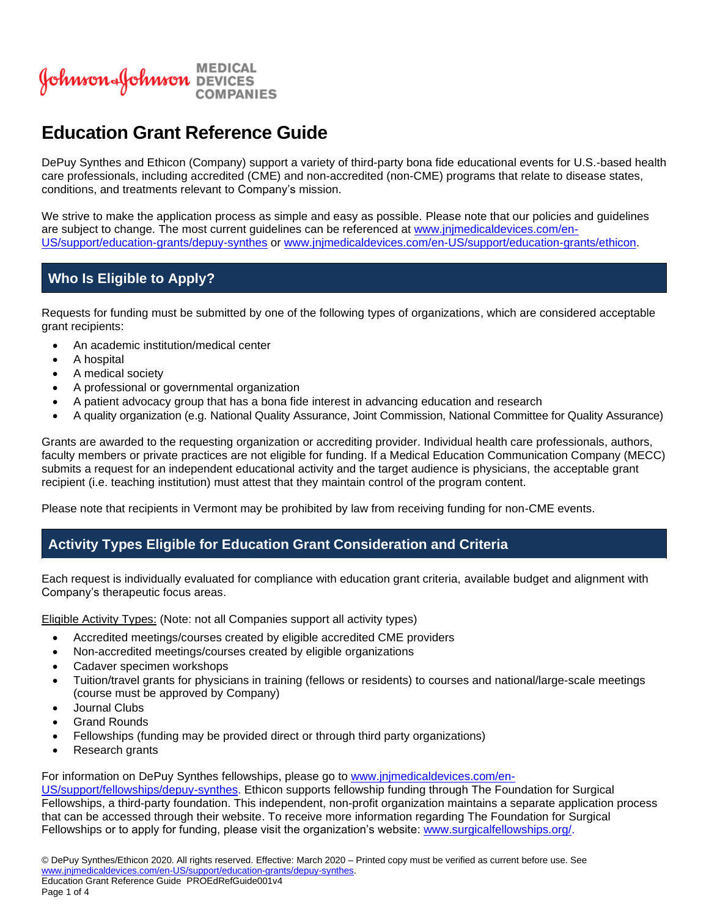

# **Education Grant Reference Guide**

DePuy Synthes and Ethicon (Company) support a variety of third-party bona fide educational events for U.S.-based health care professionals, including accredited (CME) and non-accredited (non-CME) programs that relate to disease states, conditions, and treatments relevant to Company's mission.

We strive to make the application process as simple and easy as possible. Please note that our policies and guidelines are subject to change. The most current guidelines can be referenced at [www.jnjmedicaldevices.com/en-](https://www.jnjmedicaldevices.com/en-US/support/education-grants/depuy-synthes)[US/support/education-grants/depuy-synthes](https://www.jnjmedicaldevices.com/en-US/support/education-grants/depuy-synthes) or [www.jnjmedicaldevices.com/en-US/support/education-grants/ethicon.](http://www.jnjmedicaldevices.com/en-US/support/education-grants/ethicon)

# **Who Is Eligible to Apply?**

Requests for funding must be submitted by one of the following types of organizations, which are considered acceptable grant recipients:

- An academic institution/medical center
- A hospital
- A medical society
- A professional or governmental organization
- A patient advocacy group that has a bona fide interest in advancing education and research
- A quality organization (e.g. National Quality Assurance, Joint Commission, National Committee for Quality Assurance)

Grants are awarded to the requesting organization or accrediting provider. Individual health care professionals, authors, faculty members or private practices are not eligible for funding. If a Medical Education Communication Company (MECC) submits a request for an independent educational activity and the target audience is physicians, the acceptable grant recipient (i.e. teaching institution) must attest that they maintain control of the program content.

Please note that recipients in Vermont may be prohibited by law from receiving funding for non-CME events.

# **Activity Types Eligible for Education Grant Consideration and Criteria**

Each request is individually evaluated for compliance with education grant criteria, available budget and alignment with Company's therapeutic focus areas.

Eligible Activity Types: (Note: not all Companies support all activity types)

- Accredited meetings/courses created by eligible accredited CME providers
- Non-accredited meetings/courses created by eligible organizations
- Cadaver specimen workshops
- Tuition/travel grants for physicians in training (fellows or residents) to courses and national/large-scale meetings (course must be approved by Company)
- Journal Clubs
- **Grand Rounds**
- Fellowships (funding may be provided direct or through third party organizations)
- Research grants

For information on DePuy Synthes fellowships, please go to [www.jnjmedicaldevices.com/en-](http://www.jnjmedicaldevices.com/en-US/support/fellowships/depuy-synthes)

[US/support/fellowships/depuy-synthes.](http://www.jnjmedicaldevices.com/en-US/support/fellowships/depuy-synthes) Ethicon supports fellowship funding through The Foundation for Surgical Fellowships, a third-party foundation. This independent, non-profit organization maintains a separate application process that can be accessed through their website. To receive more information regarding The Foundation for Surgical Fellowships or to apply for funding, please visit the organization's website: [www.surgicalfellowships.org/.](http://www.surgicalfellowships.org/)

Page 1 of 4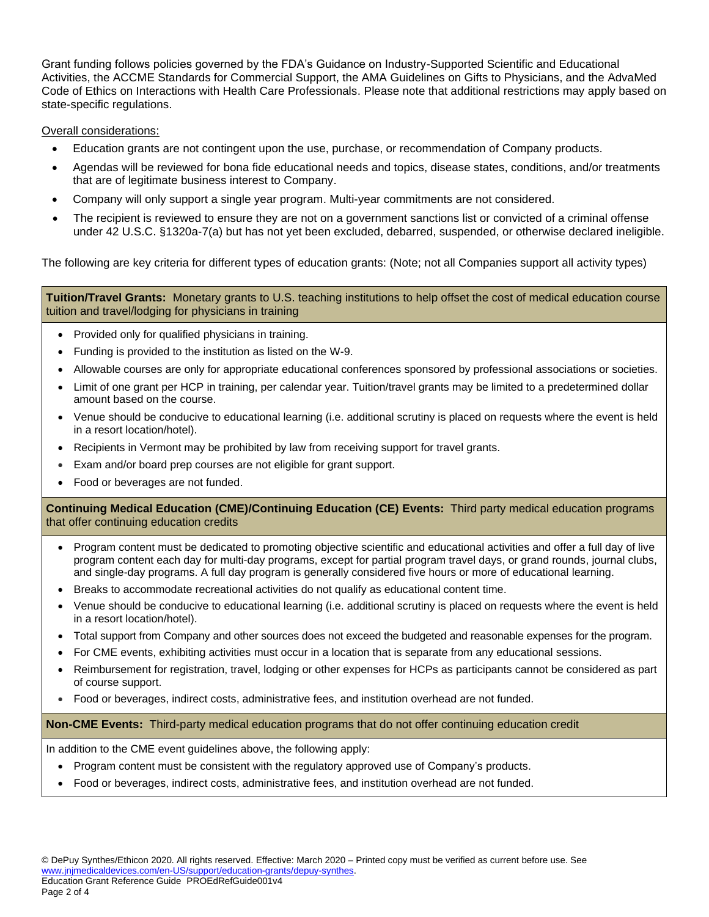Grant funding follows policies governed by the FDA's Guidance on Industry-Supported Scientific and Educational Activities, the ACCME Standards for Commercial Support, the AMA Guidelines on Gifts to Physicians, and the AdvaMed Code of Ethics on Interactions with Health Care Professionals. Please note that additional restrictions may apply based on state-specific regulations.

#### Overall considerations:

- Education grants are not contingent upon the use, purchase, or recommendation of Company products.
- Agendas will be reviewed for bona fide educational needs and topics, disease states, conditions, and/or treatments that are of legitimate business interest to Company.
- Company will only support a single year program. Multi-year commitments are not considered.
- The recipient is reviewed to ensure they are not on a government sanctions list or convicted of a criminal offense under 42 U.S.C. §1320a-7(a) but has not yet been excluded, debarred, suspended, or otherwise declared ineligible.

The following are key criteria for different types of education grants: (Note; not all Companies support all activity types)

**Tuition/Travel Grants:** Monetary grants to U.S. teaching institutions to help offset the cost of medical education course tuition and travel/lodging for physicians in training

- Provided only for qualified physicians in training.
- Funding is provided to the institution as listed on the W-9.
- Allowable courses are only for appropriate educational conferences sponsored by professional associations or societies.
- Limit of one grant per HCP in training, per calendar year. Tuition/travel grants may be limited to a predetermined dollar amount based on the course.
- Venue should be conducive to educational learning (i.e. additional scrutiny is placed on requests where the event is held in a resort location/hotel).
- Recipients in Vermont may be prohibited by law from receiving support for travel grants.
- Exam and/or board prep courses are not eligible for grant support.
- Food or beverages are not funded.

**Continuing Medical Education (CME)/Continuing Education (CE) Events:** Third party medical education programs that offer continuing education credits

- Program content must be dedicated to promoting objective scientific and educational activities and offer a full day of live program content each day for multi-day programs, except for partial program travel days, or grand rounds, journal clubs, and single-day programs. A full day program is generally considered five hours or more of educational learning.
- Breaks to accommodate recreational activities do not qualify as educational content time.
- Venue should be conducive to educational learning (i.e. additional scrutiny is placed on requests where the event is held in a resort location/hotel).
- Total support from Company and other sources does not exceed the budgeted and reasonable expenses for the program.
- For CME events, exhibiting activities must occur in a location that is separate from any educational sessions.
- Reimbursement for registration, travel, lodging or other expenses for HCPs as participants cannot be considered as part of course support.
- Food or beverages, indirect costs, administrative fees, and institution overhead are not funded.

#### **Non-CME Events:** Third-party medical education programs that do not offer continuing education credit

In addition to the CME event guidelines above, the following apply:

- Program content must be consistent with the regulatory approved use of Company's products.
- Food or beverages, indirect costs, administrative fees, and institution overhead are not funded.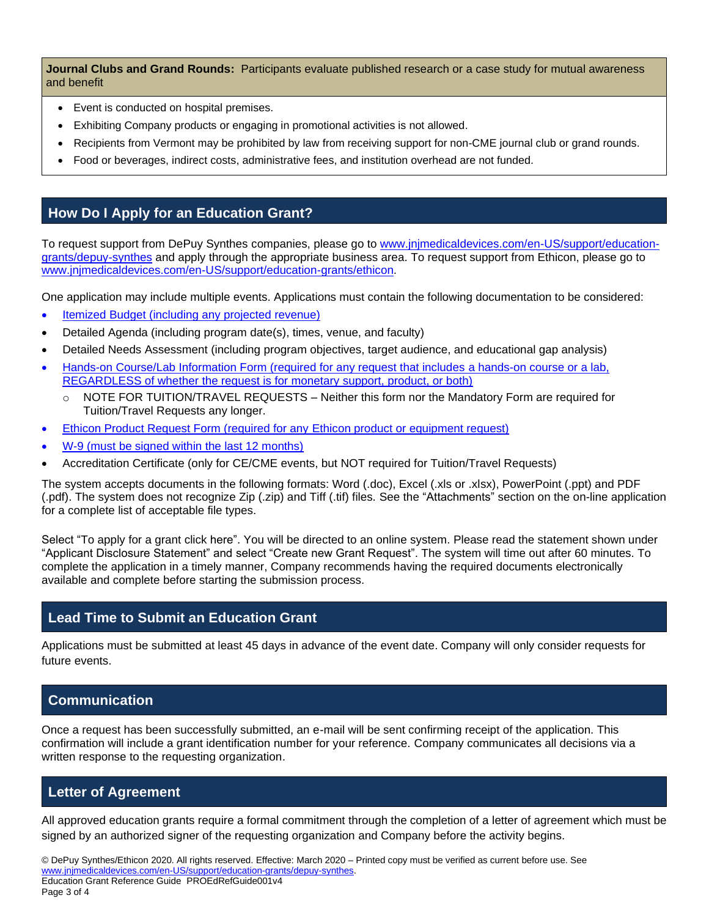**Journal Clubs and Grand Rounds:** Participants evaluate published research or a case study for mutual awareness and benefit

- Event is conducted on hospital premises.
- Exhibiting Company products or engaging in promotional activities is not allowed.
- Recipients from Vermont may be prohibited by law from receiving support for non-CME journal club or grand rounds.
- Food or beverages, indirect costs, administrative fees, and institution overhead are not funded.

## **How Do I Apply for an Education Grant?**

To request support from DePuy Synthes companies, please go to [www.jnjmedicaldevices.com/en-US/support/education](http://www.jnjmedicaldevices.com/en-US/support/education-grants/depuy-synthes)[grants/depuy-synthes](http://www.jnjmedicaldevices.com/en-US/support/education-grants/depuy-synthes) and apply through the appropriate business area. To request support from Ethicon, please go to [www.jnjmedicaldevices.com/en-US/support/education-grants/ethicon.](http://www.jnjmedicaldevices.com/en-US/support/education-grants/ethicon)

One application may include multiple events. Applications must contain the following documentation to be considered:

- [Itemized Budget \(including any projected revenue\)](https://www.totalitygrants.com/sites/default/files/Budget_template_1.24.2020.xls)
- Detailed Agenda (including program date(s), times, venue, and faculty)
- Detailed Needs Assessment (including program objectives, target audience, and educational gap analysis)
- [Hands-on Course/Lab Information Form \(required for any request that includes a hands-on course or a lab,](https://www.totalitygrants.com/sites/default/files/DPS_Lab_Information_Form_2.18.20.pdf)  [REGARDLESS of whether the request is for monetary support, product, or both\)](https://www.totalitygrants.com/sites/default/files/DPS_Lab_Information_Form_2.18.20.pdf)
	- $\circ$  NOTE FOR TUITION/TRAVEL REQUESTS Neither this form nor the Mandatory Form are required for Tuition/Travel Requests any longer.
- [Ethicon Product Request Form \(required for any Ethicon product or equipment request\)](https://totalitygrants.com/sites/default/files/Ethicon_Product_Request_Form_updated_1.27.2020.xlsm)
- [W-9 \(must be signed within the last 12 months\)](https://www.totalitygrants.com/sites/default/files/Blank_W9_Form.pdf)
- Accreditation Certificate (only for CE/CME events, but NOT required for Tuition/Travel Requests)

The system accepts documents in the following formats: Word (.doc), Excel (.xls or .xlsx), PowerPoint (.ppt) and PDF (.pdf). The system does not recognize Zip (.zip) and Tiff (.tif) files. See the "Attachments" section on the on-line application for a complete list of acceptable file types.

Select "To apply for a grant click here". You will be directed to an online system. Please read the statement shown under "Applicant Disclosure Statement" and select "Create new Grant Request". The system will time out after 60 minutes. To complete the application in a timely manner, Company recommends having the required documents electronically available and complete before starting the submission process.

### **Lead Time to Submit an Education Grant**

Applications must be submitted at least 45 days in advance of the event date. Company will only consider requests for future events.

# **Communication**

Once a request has been successfully submitted, an e-mail will be sent confirming receipt of the application. This confirmation will include a grant identification number for your reference. Company communicates all decisions via a written response to the requesting organization.

### **Letter of Agreement**

All approved education grants require a formal commitment through the completion of a letter of agreement which must be signed by an authorized signer of the requesting organization and Company before the activity begins.

© DePuy Synthes/Ethicon 2020. All rights reserved. Effective: March 2020 – Printed copy must be verified as current before use. See [www.jnjmedicaldevices.com/en-US/support/education-grants/depuy-synthes.](https://www.jnjmedicaldevices.com/en-US/support/education-grants/depuy-synthes) Education Grant Reference Guide PROEdRefGuide001v4

Page 3 of 4